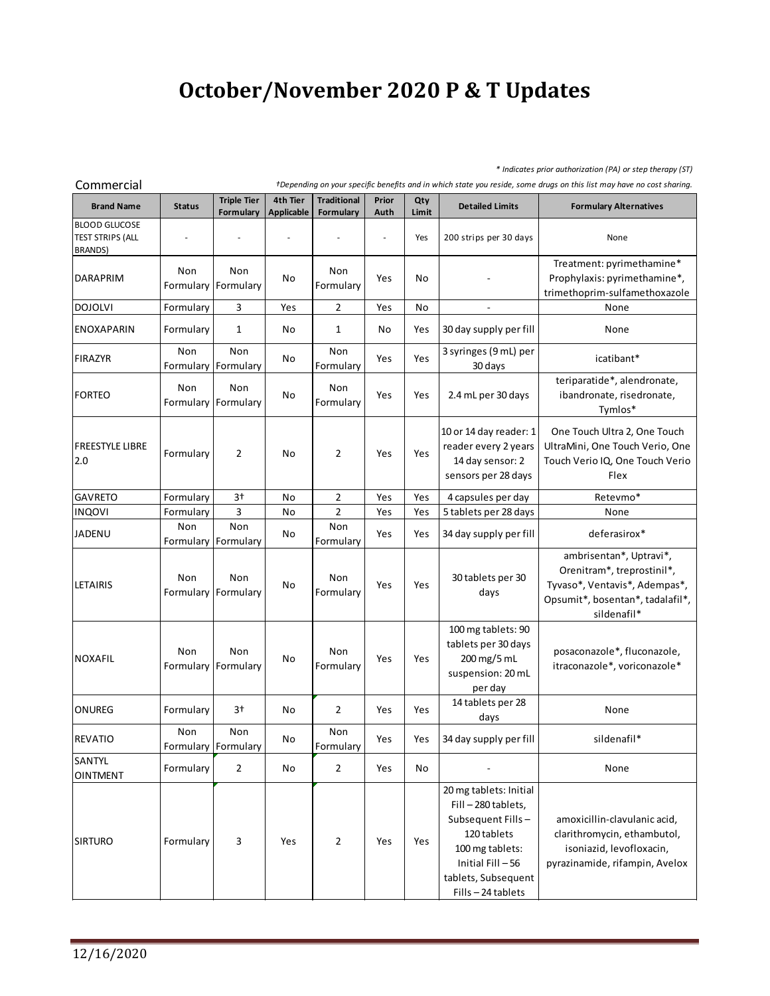## **October/November 2020 P & T Updates**

*\* Indicates prior authorization (PA) or step therapy (ST)*

| Commercial<br>+Depending on your specific benefits and in which state you reside, some drugs on this list may have no cost sharing. |                  |                                 |                               |                                 |               |              |                                                                                                                                                                    |                                                                                                                                           |  |  |
|-------------------------------------------------------------------------------------------------------------------------------------|------------------|---------------------------------|-------------------------------|---------------------------------|---------------|--------------|--------------------------------------------------------------------------------------------------------------------------------------------------------------------|-------------------------------------------------------------------------------------------------------------------------------------------|--|--|
| <b>Brand Name</b>                                                                                                                   | <b>Status</b>    | <b>Triple Tier</b><br>Formulary | 4th Tier<br><b>Applicable</b> | <b>Traditional</b><br>Formulary | Prior<br>Auth | Qty<br>Limit | <b>Detailed Limits</b>                                                                                                                                             | <b>Formulary Alternatives</b>                                                                                                             |  |  |
| <b>BLOOD GLUCOSE</b><br><b>TEST STRIPS (ALL</b><br>BRANDS)                                                                          |                  |                                 |                               |                                 |               | Yes          | 200 strips per 30 days                                                                                                                                             | None                                                                                                                                      |  |  |
| DARAPRIM                                                                                                                            | Non              | Non<br>Formulary Formulary      | No                            | Non<br>Formulary                | Yes           | No           |                                                                                                                                                                    | Treatment: pyrimethamine*<br>Prophylaxis: pyrimethamine*,<br>trimethoprim-sulfamethoxazole                                                |  |  |
| <b>DOJOLVI</b>                                                                                                                      | Formulary        | $\mathbf{3}$                    | Yes                           | $\overline{2}$                  | Yes           | No           |                                                                                                                                                                    | None                                                                                                                                      |  |  |
| <b>ENOXAPARIN</b>                                                                                                                   | Formulary        | 1                               | No                            | $\mathbf{1}$                    | No            | Yes          | 30 day supply per fill                                                                                                                                             | None                                                                                                                                      |  |  |
| <b>FIRAZYR</b>                                                                                                                      | Non              | Non<br>Formulary Formulary      | No                            | Non<br>Formulary                | Yes           | Yes          | 3 syringes (9 mL) per<br>30 days                                                                                                                                   | icatibant*                                                                                                                                |  |  |
| <b>FORTEO</b>                                                                                                                       | Non              | Non<br>Formulary Formulary      | No                            | Non<br>Formulary                | Yes           | Yes          | 2.4 mL per 30 days                                                                                                                                                 | teriparatide*, alendronate,<br>ibandronate, risedronate,<br>Tymlos*                                                                       |  |  |
| <b>FREESTYLE LIBRE</b><br>2.0                                                                                                       | Formulary        | 2                               | No                            | 2                               | Yes           | Yes          | 10 or 14 day reader: 1<br>reader every 2 years<br>14 day sensor: 2<br>sensors per 28 days                                                                          | One Touch Ultra 2, One Touch<br>UltraMini, One Touch Verio, One<br>Touch Verio IQ, One Touch Verio<br>Flex                                |  |  |
| <b>GAVRETO</b>                                                                                                                      | Formulary        | $3+$                            | No                            | $\overline{2}$                  | Yes           | Yes          | 4 capsules per day                                                                                                                                                 | Retevmo*                                                                                                                                  |  |  |
| <b>INQOVI</b>                                                                                                                       | Formulary        | 3                               | No                            | $\overline{2}$                  | Yes           | Yes          | 5 tablets per 28 days                                                                                                                                              | None                                                                                                                                      |  |  |
| <b>JADENU</b>                                                                                                                       | Non              | Non<br>Formulary Formulary      | No                            | Non<br>Formulary                | Yes           | Yes          | 34 day supply per fill                                                                                                                                             | deferasirox*                                                                                                                              |  |  |
| <b>LETAIRIS</b>                                                                                                                     | Non<br>Formulary | Non<br>Formulary                | No                            | Non<br>Formulary                | Yes           | Yes          | 30 tablets per 30<br>days                                                                                                                                          | ambrisentan*, Uptravi*,<br>Orenitram*, treprostinil*,<br>Tyvaso*, Ventavis*, Adempas*,<br>Opsumit*, bosentan*, tadalafil*,<br>sildenafil* |  |  |
| <b>NOXAFIL</b>                                                                                                                      | Non              | Non<br>Formulary Formulary      | No                            | Non<br>Formulary                | Yes           | Yes          | 100 mg tablets: 90<br>tablets per 30 days<br>200 mg/5 mL<br>suspension: 20 mL<br>per day                                                                           | posaconazole*, fluconazole,<br>itraconazole*, voriconazole*                                                                               |  |  |
| ONUREG                                                                                                                              | Formulary        | 3†                              | No                            | 2                               | Yes           | Yes          | 14 tablets per 28<br>days                                                                                                                                          | None                                                                                                                                      |  |  |
| <b>REVATIO</b>                                                                                                                      | Non              | Non<br>Formulary   Formulary    | No                            | Non<br>Formulary                | Yes           | Yes          | 34 day supply per fill                                                                                                                                             | sildenafil*                                                                                                                               |  |  |
| SANTYL<br><b>OINTMENT</b>                                                                                                           | Formulary        | $\overline{2}$                  | No                            | $\overline{2}$                  | Yes           | No           |                                                                                                                                                                    | None                                                                                                                                      |  |  |
| <b>SIRTURO</b>                                                                                                                      | Formulary        | 3                               | Yes                           | 2                               | Yes           | Yes          | 20 mg tablets: Initial<br>Fill-280 tablets,<br>Subsequent Fills-<br>120 tablets<br>100 mg tablets:<br>Initial Fill - 56<br>tablets, Subsequent<br>Fills-24 tablets | amoxicillin-clavulanic acid,<br>clarithromycin, ethambutol,<br>isoniazid, levofloxacin,<br>pyrazinamide, rifampin, Avelox                 |  |  |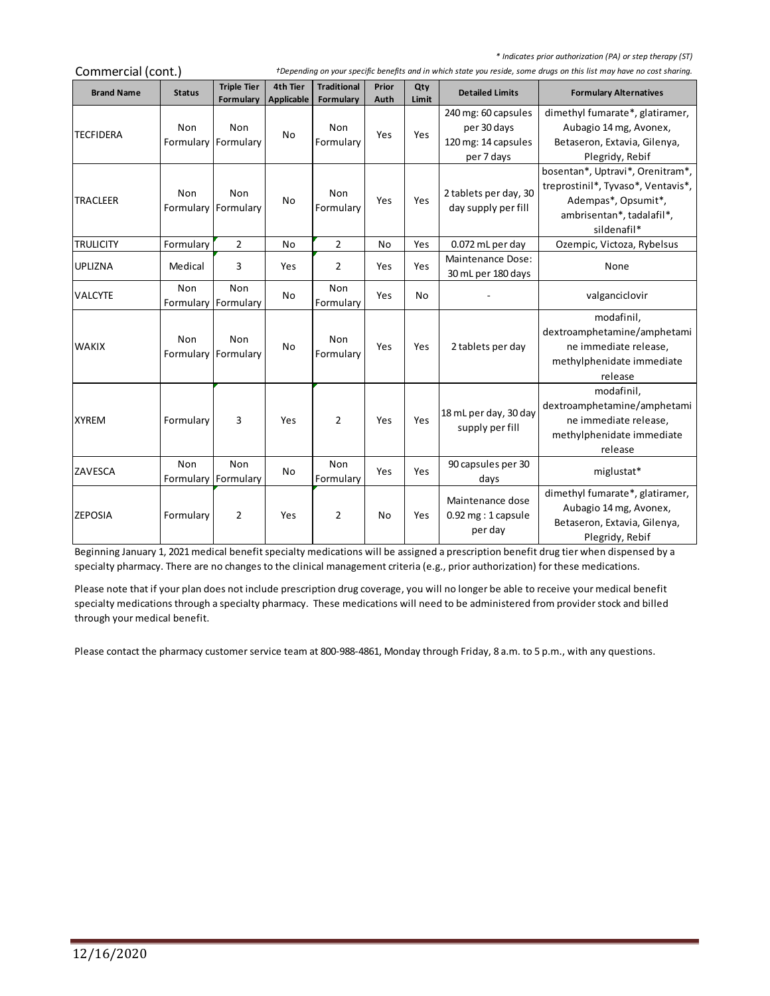*\* Indicates prior authorization (PA) or step therapy (ST)*

| Commercial (cont.) |                  |                                 | +Depending on your specific benefits and in which state you reside, some drugs on this list may have no cost sharing. |                                 |               |              |                                                                         |                                                                                                                                           |  |  |
|--------------------|------------------|---------------------------------|-----------------------------------------------------------------------------------------------------------------------|---------------------------------|---------------|--------------|-------------------------------------------------------------------------|-------------------------------------------------------------------------------------------------------------------------------------------|--|--|
| <b>Brand Name</b>  | <b>Status</b>    | <b>Triple Tier</b><br>Formulary | 4th Tier<br><b>Applicable</b>                                                                                         | <b>Traditional</b><br>Formulary | Prior<br>Auth | Qty<br>Limit | <b>Detailed Limits</b>                                                  | <b>Formulary Alternatives</b>                                                                                                             |  |  |
| <b>TECFIDERA</b>   | Non<br>Formulary | Non<br>Formulary                | <b>No</b>                                                                                                             | Non<br>Formulary                | Yes           | Yes          | 240 mg: 60 capsules<br>per 30 days<br>120 mg: 14 capsules<br>per 7 days | dimethyl fumarate*, glatiramer,<br>Aubagio 14 mg, Avonex,<br>Betaseron, Extavia, Gilenya,<br>Plegridy, Rebif                              |  |  |
| <b>TRACLEER</b>    | Non<br>Formulary | Non<br>Formulary                | No                                                                                                                    | Non<br>Formulary                | Yes           | Yes          | 2 tablets per day, 30<br>day supply per fill                            | bosentan*, Uptravi*, Orenitram*,<br>treprostinil*, Tyvaso*, Ventavis*,<br>Adempas*, Opsumit*,<br>ambrisentan*, tadalafil*,<br>sildenafil* |  |  |
| <b>TRULICITY</b>   | Formulary        | $\overline{2}$                  | <b>No</b>                                                                                                             | $\overline{2}$                  | No            | Yes          | 0.072 mL per day                                                        | Ozempic, Victoza, Rybelsus                                                                                                                |  |  |
| UPLIZNA            | Medical          | 3                               | Yes                                                                                                                   | $\overline{2}$                  | Yes           | Yes          | Maintenance Dose:<br>30 mL per 180 days                                 | None                                                                                                                                      |  |  |
| <b>VALCYTE</b>     | Non<br>Formulary | Non<br>Formulary                | No                                                                                                                    | Non<br>Formulary                | Yes           | No           |                                                                         | valganciclovir                                                                                                                            |  |  |
| <b>WAKIX</b>       | Non<br>Formulary | Non<br>Formulary                | No                                                                                                                    | Non<br>Formulary                | Yes           | Yes          | 2 tablets per day                                                       | modafinil,<br>dextroamphetamine/amphetami<br>ne immediate release,<br>methylphenidate immediate<br>release                                |  |  |
| <b>XYREM</b>       | Formulary        | 3                               | Yes                                                                                                                   | $\overline{2}$                  | Yes           | Yes          | 18 mL per day, 30 day<br>supply per fill                                | modafinil,<br>dextroamphetamine/amphetami<br>ne immediate release,<br>methylphenidate immediate<br>release                                |  |  |
| ZAVESCA            | Non<br>Formulary | Non<br>Formulary                | <b>No</b>                                                                                                             | Non<br>Formulary                | Yes           | Yes          | 90 capsules per 30<br>days                                              | miglustat*                                                                                                                                |  |  |
| <b>ZEPOSIA</b>     | Formulary        | $\overline{2}$                  | Yes                                                                                                                   | $\overline{2}$                  | No            | Yes          | Maintenance dose<br>$0.92$ mg : 1 capsule<br>per day                    | dimethyl fumarate*, glatiramer,<br>Aubagio 14 mg, Avonex,<br>Betaseron, Extavia, Gilenya,<br>Plegridy, Rebif                              |  |  |

Beginning January 1, 2021 medical benefit specialty medications will be assigned a prescription benefit drug tier when dispensed by a specialty pharmacy. There are no changes to the clinical management criteria (e.g., prior authorization) for these medications.

Please note that if your plan does not include prescription drug coverage, you will no longer be able to receive your medical benefit specialty medications through a specialty pharmacy. These medications will need to be administered from provider stock and billed through your medical benefit.

Please contact the pharmacy customer service team at 800-988-4861, Monday through Friday, 8 a.m. to 5 p.m., with any questions.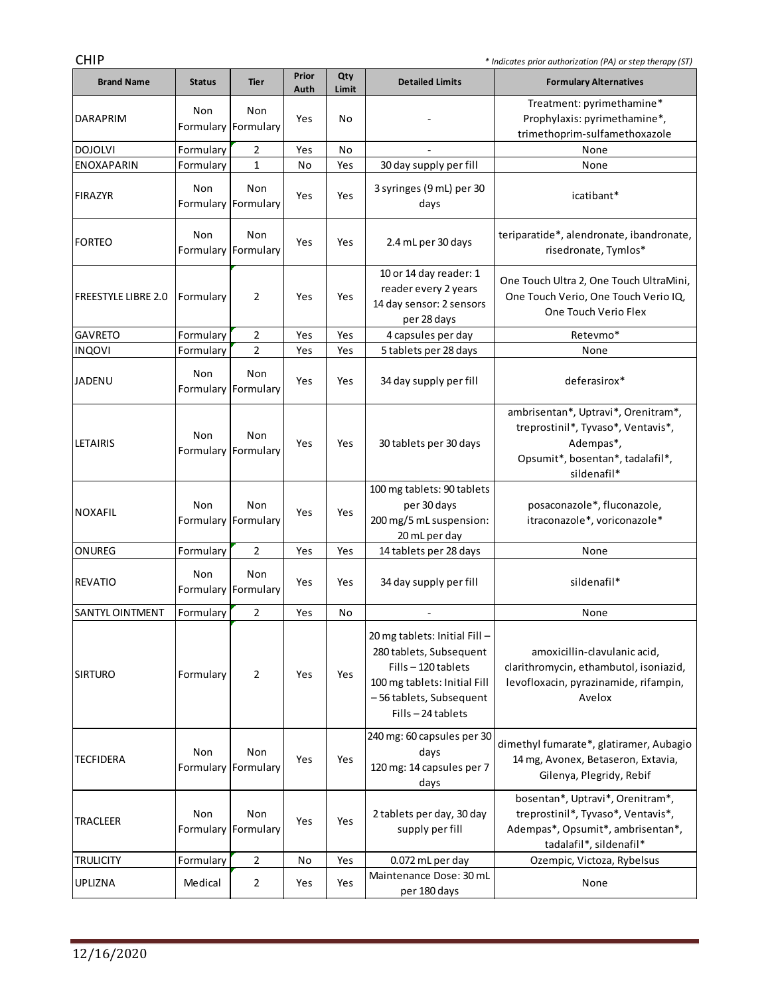| <b>CHIP</b>                | * Indicates prior authorization (PA) or step therapy (ST) |                            |               |              |                                                                                                                                                             |                                                                                                                                           |  |  |  |
|----------------------------|-----------------------------------------------------------|----------------------------|---------------|--------------|-------------------------------------------------------------------------------------------------------------------------------------------------------------|-------------------------------------------------------------------------------------------------------------------------------------------|--|--|--|
| <b>Brand Name</b>          | <b>Status</b>                                             | <b>Tier</b>                | Prior<br>Auth | Qty<br>Limit | <b>Detailed Limits</b>                                                                                                                                      | <b>Formulary Alternatives</b>                                                                                                             |  |  |  |
| <b>DARAPRIM</b>            | Non                                                       | Non<br>Formulary Formulary | Yes           | No           |                                                                                                                                                             | Treatment: pyrimethamine*<br>Prophylaxis: pyrimethamine*,<br>trimethoprim-sulfamethoxazole                                                |  |  |  |
| <b>DOJOLVI</b>             | Formulary                                                 | 2                          | Yes           | No           |                                                                                                                                                             | None                                                                                                                                      |  |  |  |
| <b>ENOXAPARIN</b>          | Formulary                                                 | 1                          | No            | Yes          | 30 day supply per fill                                                                                                                                      | None                                                                                                                                      |  |  |  |
| FIRAZYR                    | Non<br>Formulary Formulary                                | Non                        | Yes           | Yes          | 3 syringes (9 mL) per 30<br>days                                                                                                                            | icatibant*                                                                                                                                |  |  |  |
| <b>FORTEO</b>              | Non<br>Formulary Formulary                                | Non                        | Yes           | Yes          | 2.4 mL per 30 days                                                                                                                                          | teriparatide*, alendronate, ibandronate,<br>risedronate, Tymlos*                                                                          |  |  |  |
| <b>FREESTYLE LIBRE 2.0</b> | Formulary                                                 | 2                          | Yes           | Yes          | 10 or 14 day reader: 1<br>reader every 2 years<br>14 day sensor: 2 sensors<br>per 28 days                                                                   | One Touch Ultra 2, One Touch UltraMini,<br>One Touch Verio, One Touch Verio IQ,<br>One Touch Verio Flex                                   |  |  |  |
| <b>GAVRETO</b>             | Formulary                                                 | 2                          | Yes           | Yes          | 4 capsules per day                                                                                                                                          | Retevmo*                                                                                                                                  |  |  |  |
| <b>INQOVI</b>              | Formulary                                                 | $\overline{2}$             | Yes           | Yes          | 5 tablets per 28 days                                                                                                                                       | None                                                                                                                                      |  |  |  |
| JADENU                     | Non<br>Formulary Formulary                                | Non                        | Yes           | Yes          | 34 day supply per fill                                                                                                                                      | deferasirox*                                                                                                                              |  |  |  |
| <b>LETAIRIS</b>            | Non                                                       | Non<br>Formulary Formulary | Yes           | Yes          | 30 tablets per 30 days                                                                                                                                      | ambrisentan*, Uptravi*, Orenitram*,<br>treprostinil*, Tyvaso*, Ventavis*,<br>Adempas*,<br>Opsumit*, bosentan*, tadalafil*,<br>sildenafil* |  |  |  |
| <b>NOXAFIL</b>             | Non                                                       | Non<br>Formulary Formulary | Yes           | Yes          | 100 mg tablets: 90 tablets<br>per 30 days<br>200 mg/5 mL suspension:<br>20 mL per day                                                                       | posaconazole*, fluconazole,<br>itraconazole*, voriconazole*                                                                               |  |  |  |
| ONUREG                     | Formulary                                                 | $\overline{2}$             | Yes           | Yes          | 14 tablets per 28 days                                                                                                                                      | None                                                                                                                                      |  |  |  |
| <b>REVATIO</b>             | Non                                                       | Non<br>Formulary Formulary | Yes           | Yes          | 34 day supply per fill                                                                                                                                      | sildenafil*                                                                                                                               |  |  |  |
| SANTYL OINTMENT            | Formulary                                                 | $\mathcal{L}$              | Yes           | No           |                                                                                                                                                             | None                                                                                                                                      |  |  |  |
| <b>SIRTURO</b>             | Formulary                                                 | 2                          | Yes           | Yes          | 20 mg tablets: Initial Fill-<br>280 tablets, Subsequent<br>Fills-120 tablets<br>100 mg tablets: Initial Fill<br>-56 tablets, Subsequent<br>Fills-24 tablets | amoxicillin-clavulanic acid,<br>clarithromycin, ethambutol, isoniazid,<br>levofloxacin, pyrazinamide, rifampin,<br>Avelox                 |  |  |  |
| <b>TECFIDERA</b>           | Non<br>Formulary Formulary                                | Non                        | Yes           | Yes          | 240 mg: 60 capsules per 30<br>days<br>120 mg: 14 capsules per 7<br>days                                                                                     | dimethyl fumarate*, glatiramer, Aubagio<br>14 mg, Avonex, Betaseron, Extavia,<br>Gilenya, Plegridy, Rebif                                 |  |  |  |
| TRACLEER                   | Non<br>Formulary Formulary                                | Non                        | Yes           | Yes          | 2 tablets per day, 30 day<br>supply per fill                                                                                                                | bosentan*, Uptravi*, Orenitram*,<br>treprostinil*, Tyvaso*, Ventavis*,<br>Adempas*, Opsumit*, ambrisentan*,<br>tadalafil*, sildenafil*    |  |  |  |
| <b>TRULICITY</b>           | Formulary                                                 | $\overline{2}$             | No            | Yes          | 0.072 mL per day                                                                                                                                            | Ozempic, Victoza, Rybelsus                                                                                                                |  |  |  |
| <b>UPLIZNA</b>             | Medical                                                   | 2                          | Yes           | Yes          | Maintenance Dose: 30 mL<br>per 180 days                                                                                                                     | None                                                                                                                                      |  |  |  |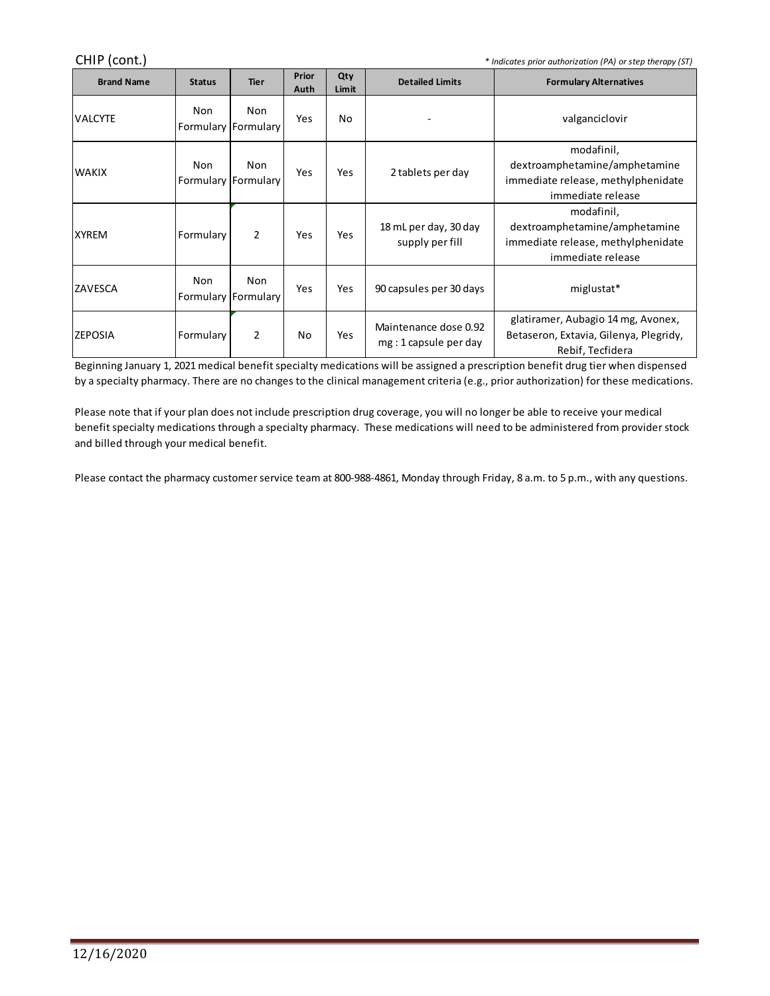| CHIP (cont.)<br>* Indicates prior authorization (PA) or step therapy (ST) |                            |             |               |              |                                                |                                                                                                        |  |  |  |
|---------------------------------------------------------------------------|----------------------------|-------------|---------------|--------------|------------------------------------------------|--------------------------------------------------------------------------------------------------------|--|--|--|
| <b>Brand Name</b>                                                         | <b>Status</b>              | <b>Tier</b> | Prior<br>Auth | Qty<br>Limit | <b>Detailed Limits</b>                         | <b>Formulary Alternatives</b>                                                                          |  |  |  |
| VALCYTE                                                                   | Non<br>Formulary Formulary | Non         | Yes           | No           |                                                | valganciclovir                                                                                         |  |  |  |
| lwakix                                                                    | Non<br>Formulary Formulary | Non         | Yes           | Yes          | 2 tablets per day                              | modafinil,<br>dextroamphetamine/amphetamine<br>immediate release, methylphenidate<br>immediate release |  |  |  |
| <b>XYREM</b>                                                              | Formulary                  | 2           | Yes           | Yes          | 18 mL per day, 30 day<br>supply per fill       | modafinil,<br>dextroamphetamine/amphetamine<br>immediate release, methylphenidate<br>immediate release |  |  |  |
| ZAVESCA                                                                   | Non<br>Formulary Formulary | Non         | Yes           | Yes          | 90 capsules per 30 days                        | miglustat*                                                                                             |  |  |  |
| <b>ZEPOSIA</b>                                                            | Formulary                  | 2           | No            | Yes          | Maintenance dose 0.92<br>mg: 1 capsule per day | glatiramer, Aubagio 14 mg, Avonex,<br>Betaseron, Extavia, Gilenya, Plegridy,<br>Rebif, Tecfidera       |  |  |  |

Beginning January 1, 2021 medical benefit specialty medications will be assigned a prescription benefit drug tier when dispensed by a specialty pharmacy. There are no changes to the clinical management criteria (e.g., prior authorization) for these medications.

Please note that if your plan does not include prescription drug coverage, you will no longer be able to receive your medical benefit specialty medications through a specialty pharmacy. These medications will need to be administered from provider stock and billed through your medical benefit.

Please contact the pharmacy customer service team at 800-988-4861, Monday through Friday, 8 a.m. to 5 p.m., with any questions.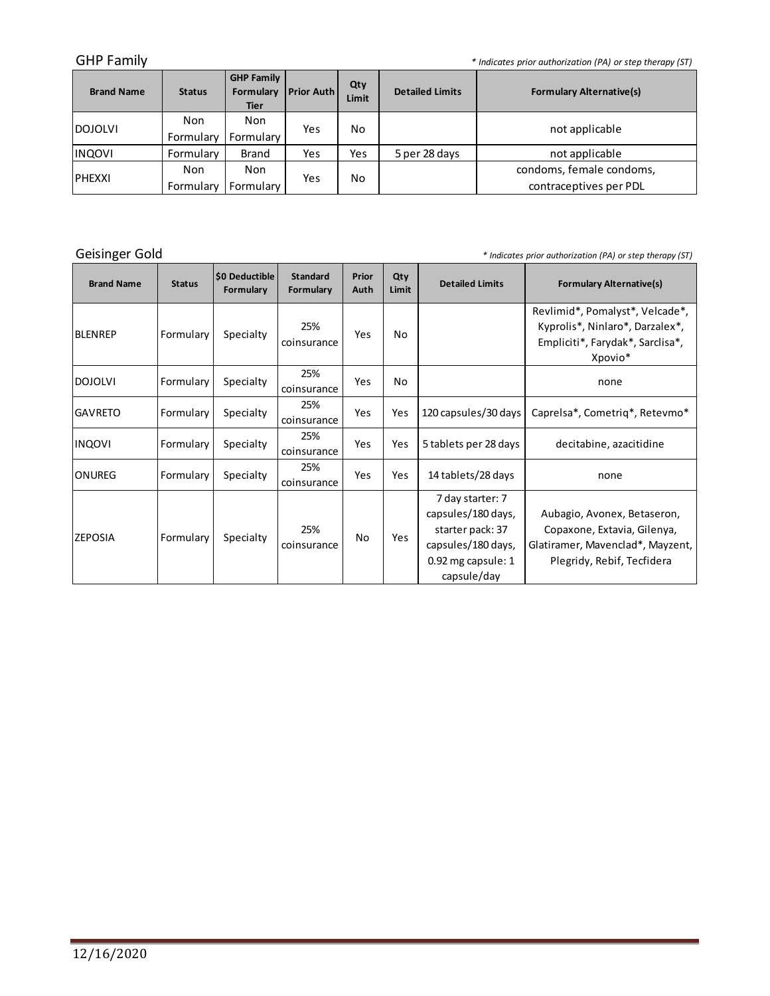GHP Family *\* Indicates prior authorization (PA) or step therapy (ST)*

| <b>Brand Name</b> | <b>Status</b> | <b>GHP Family</b><br>Formulary<br><b>Tier</b> | <b>Prior Auth</b> | Qty<br>Limit | <b>Detailed Limits</b> | <b>Formulary Alternative(s)</b> |
|-------------------|---------------|-----------------------------------------------|-------------------|--------------|------------------------|---------------------------------|
| <b>IDOJOLVI</b>   | Non           | <b>Non</b>                                    | Yes               | No           |                        | not applicable                  |
|                   | Formulary     | Formulary                                     |                   |              |                        |                                 |
| <b>INQOVI</b>     | Formulary     | <b>Brand</b>                                  | Yes               | Yes          | 5 per 28 days          | not applicable                  |
| <b>IPHEXXI</b>    | Non           | <b>Non</b>                                    |                   |              |                        | condoms, female condoms,        |
|                   | Formulary     | Formulary                                     | Yes               | No           |                        | contraceptives per PDL          |

Geisinger Gold

*\* Indicates prior authorization (PA) or step therapy (ST)*

and the control of the control of the

| <b>Brand Name</b> | <b>Status</b> | <b>SO Deductible</b><br>Formulary | <b>Standard</b><br>Formulary | Prior<br>Auth | Qty<br>Limit | <b>Detailed Limits</b>                                                                                                  | <b>Formulary Alternative(s)</b>                                                                                              |
|-------------------|---------------|-----------------------------------|------------------------------|---------------|--------------|-------------------------------------------------------------------------------------------------------------------------|------------------------------------------------------------------------------------------------------------------------------|
| IBLENREP          | Formulary     | Specialty                         | 25%<br>coinsurance           | Yes           | No           |                                                                                                                         | Revlimid*, Pomalyst*, Velcade*,<br>Kyprolis*, Ninlaro*, Darzalex*,<br>Empliciti*, Farydak*, Sarclisa*,<br>Xpovio*            |
| <b>DOJOLVI</b>    | Formulary     | Specialty                         | 25%<br>coinsurance           | Yes           | No           |                                                                                                                         | none                                                                                                                         |
| <b>GAVRETO</b>    | Formulary     | Specialty                         | 25%<br>coinsurance           | Yes           | Yes          | 120 capsules/30 days                                                                                                    | Caprelsa*, Cometrig*, Retevmo*                                                                                               |
| <b>INQOVI</b>     | Formulary     | Specialty                         | 25%<br>coinsurance           | Yes           | Yes          | 5 tablets per 28 days                                                                                                   | decitabine, azacitidine                                                                                                      |
| <b>ONUREG</b>     | Formulary     | Specialty                         | 25%<br>coinsurance           | Yes           | Yes          | 14 tablets/28 days                                                                                                      | none                                                                                                                         |
| IZEPOSIA          | Formulary     | Specialty                         | 25%<br>coinsurance           | No.           | Yes          | 7 day starter: 7<br>capsules/180 days,<br>starter pack: 37<br>capsules/180 days,<br>$0.92$ mg capsule: 1<br>capsule/day | Aubagio, Avonex, Betaseron,<br>Copaxone, Extavia, Gilenya,<br>Glatiramer, Mavenclad*, Mayzent,<br>Plegridy, Rebif, Tecfidera |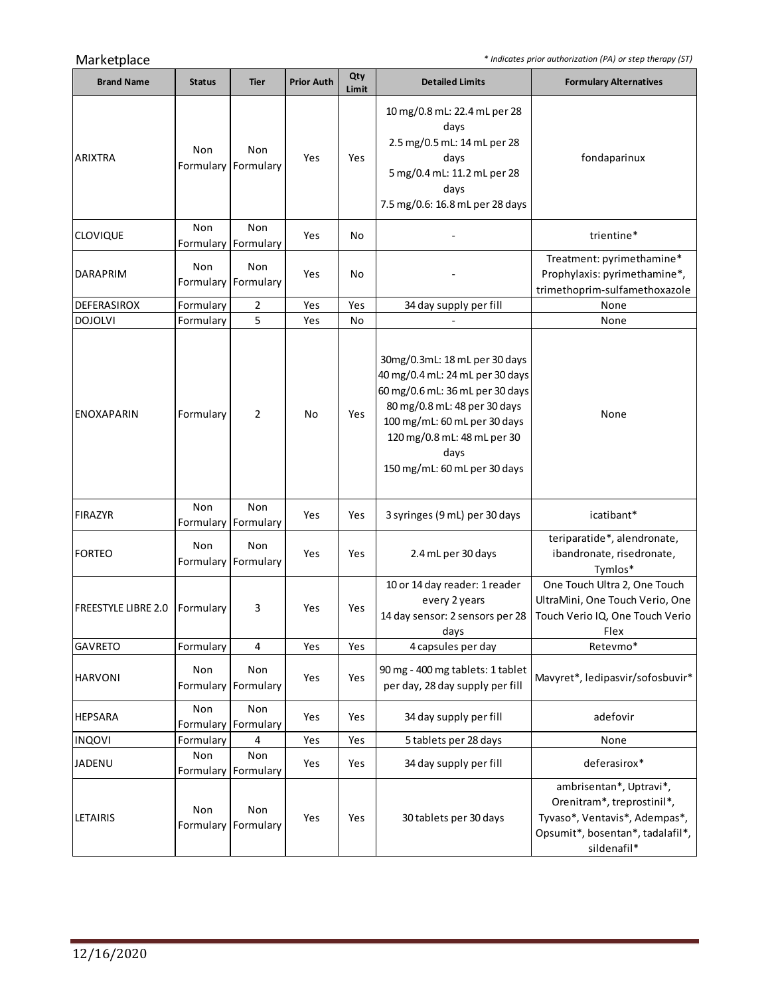Marketplace *\* Indicates prior authorization (PA) or step therapy (ST)*

 $\sim$ 

| <b>Brand Name</b>          | <b>Status</b>    | <b>Tier</b>                | <b>Prior Auth</b> | Qty<br>Limit | <b>Detailed Limits</b>                                                                                                                                                                                                                     | <b>Formulary Alternatives</b>                                                                                                             |
|----------------------------|------------------|----------------------------|-------------------|--------------|--------------------------------------------------------------------------------------------------------------------------------------------------------------------------------------------------------------------------------------------|-------------------------------------------------------------------------------------------------------------------------------------------|
| <b>ARIXTRA</b>             | Non<br>Formulary | Non<br>Formulary           | Yes               | Yes          | 10 mg/0.8 mL: 22.4 mL per 28<br>days<br>2.5 mg/0.5 mL: 14 mL per 28<br>days<br>5 mg/0.4 mL: 11.2 mL per 28<br>days<br>7.5 mg/0.6: 16.8 mL per 28 days                                                                                      | fondaparinux                                                                                                                              |
| <b>CLOVIQUE</b>            | Non              | Non<br>Formulary Formulary | Yes               | No           |                                                                                                                                                                                                                                            | trientine*                                                                                                                                |
| <b>DARAPRIM</b>            | <b>Non</b>       | Non<br>Formulary Formulary | Yes               | No           |                                                                                                                                                                                                                                            | Treatment: pyrimethamine*<br>Prophylaxis: pyrimethamine*,<br>trimethoprim-sulfamethoxazole                                                |
| DEFERASIROX                | Formulary        | $\overline{2}$             | Yes               | Yes          | 34 day supply per fill                                                                                                                                                                                                                     | None                                                                                                                                      |
| <b>DOJOLVI</b>             | Formulary        | 5                          | Yes               | No           |                                                                                                                                                                                                                                            | None                                                                                                                                      |
| <b>ENOXAPARIN</b>          | Formulary        | $\overline{2}$             | No                | Yes          | 30mg/0.3mL: 18 mL per 30 days<br>40 mg/0.4 mL: 24 mL per 30 days<br>60 mg/0.6 mL: 36 mL per 30 days<br>80 mg/0.8 mL: 48 per 30 days<br>100 mg/mL: 60 mL per 30 days<br>120 mg/0.8 mL: 48 mL per 30<br>days<br>150 mg/mL: 60 mL per 30 days | None                                                                                                                                      |
| <b>FIRAZYR</b>             | Non              | Non<br>Formulary Formulary | Yes               | Yes          | 3 syringes (9 mL) per 30 days                                                                                                                                                                                                              | icatibant*                                                                                                                                |
| <b>FORTEO</b>              | Non<br>Formulary | Non<br>Formulary           | Yes               | Yes          | 2.4 mL per 30 days                                                                                                                                                                                                                         | teriparatide*, alendronate,<br>ibandronate, risedronate,<br>Tymlos*                                                                       |
| <b>FREESTYLE LIBRE 2.0</b> | Formulary        | 3                          | Yes               | Yes          | 10 or 14 day reader: 1 reader<br>every 2 years<br>14 day sensor: 2 sensors per 28<br>days                                                                                                                                                  | One Touch Ultra 2, One Touch<br>UltraMini, One Touch Verio, One<br>Touch Verio IQ, One Touch Verio<br>Flex                                |
| <b>GAVRETO</b>             | Formulary        | 4                          | Yes               | Yes          | 4 capsules per day                                                                                                                                                                                                                         | Retevmo*                                                                                                                                  |
| <b>HARVONI</b>             | Non<br>Formulary | Non<br>Formulary           | Yes               | Yes          | 90 mg - 400 mg tablets: 1 tablet<br>per day, 28 day supply per fill                                                                                                                                                                        | Mavyret*, ledipasvir/sofosbuvir*                                                                                                          |
| <b>HEPSARA</b>             | Non              | Non<br>Formulary Formulary | Yes               | Yes          | 34 day supply per fill                                                                                                                                                                                                                     | adefovir                                                                                                                                  |
| <b>INQOVI</b>              | Formulary        | 4                          | Yes               | Yes          | 5 tablets per 28 days                                                                                                                                                                                                                      | None                                                                                                                                      |
| JADENU                     | Non              | Non<br>Formulary Formulary | Yes               | Yes          | 34 day supply per fill                                                                                                                                                                                                                     | deferasirox*                                                                                                                              |
| <b>LETAIRIS</b>            | Non<br>Formulary | Non<br>Formulary           | Yes               | Yes          | 30 tablets per 30 days                                                                                                                                                                                                                     | ambrisentan*, Uptravi*,<br>Orenitram*, treprostinil*,<br>Tyvaso*, Ventavis*, Adempas*,<br>Opsumit*, bosentan*, tadalafil*,<br>sildenafil* |